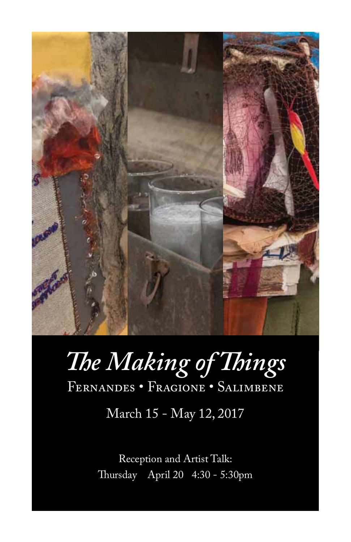

# *The Making of Things* Fernandes • Fragione • Salimbene

March 15 - May 12, 2017

Reception and Artist Talk: Thursday April 20 4:30 - 5:30pm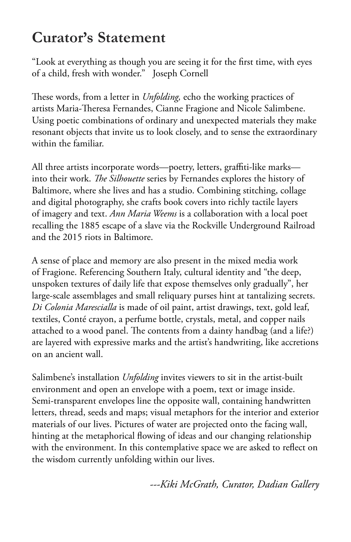## **Curator's Statement**

"Look at everything as though you are seeing it for the first time, with eyes of a child, fresh with wonder." Joseph Cornell

These words, from a letter in *Unfolding,* echo the working practices of artists Maria-Theresa Fernandes, Cianne Fragione and Nicole Salimbene. Using poetic combinations of ordinary and unexpected materials they make resonant objects that invite us to look closely, and to sense the extraordinary within the familiar.

All three artists incorporate words—poetry, letters, graffiti-like marks into their work. *The Silhouette* series by Fernandes explores the history of Baltimore, where she lives and has a studio. Combining stitching, collage and digital photography, she crafts book covers into richly tactile layers of imagery and text. *Ann Maria Weems* is a collaboration with a local poet recalling the 1885 escape of a slave via the Rockville Underground Railroad and the 2015 riots in Baltimore.

A sense of place and memory are also present in the mixed media work of Fragione. Referencing Southern Italy, cultural identity and "the deep, unspoken textures of daily life that expose themselves only gradually", her large-scale assemblages and small reliquary purses hint at tantalizing secrets. *Di Colonia Marescialla* is made of oil paint, artist drawings, text, gold leaf, textiles, Conté crayon, a perfume bottle, crystals, metal, and copper nails attached to a wood panel. The contents from a dainty handbag (and a life?) are layered with expressive marks and the artist's handwriting, like accretions on an ancient wall.

Salimbene's installation *Unfolding* invites viewers to sit in the artist-built environment and open an envelope with a poem, text or image inside. Semi-transparent envelopes line the opposite wall, containing handwritten letters, thread, seeds and maps; visual metaphors for the interior and exterior materials of our lives. Pictures of water are projected onto the facing wall, hinting at the metaphorical flowing of ideas and our changing relationship with the environment. In this contemplative space we are asked to reflect on the wisdom currently unfolding within our lives.

*---Kiki McGrath, Curator, Dadian Gallery*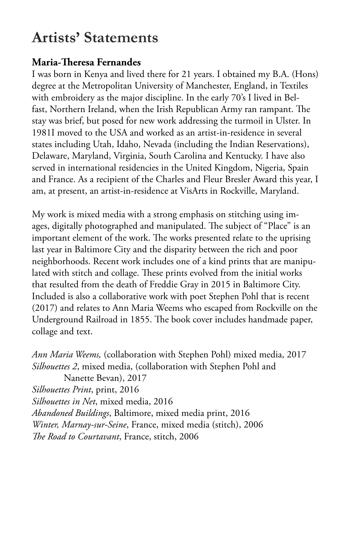### **Artists' Statements**

#### **Maria-Theresa Fernandes**

I was born in Kenya and lived there for 21 years. I obtained my B.A. (Hons) degree at the Metropolitan University of Manchester, England, in Textiles with embroidery as the major discipline. In the early 70's I lived in Belfast, Northern Ireland, when the Irish Republican Army ran rampant. The stay was brief, but posed for new work addressing the turmoil in Ulster. In 1981I moved to the USA and worked as an artist-in-residence in several states including Utah, Idaho, Nevada (including the Indian Reservations), Delaware, Maryland, Virginia, South Carolina and Kentucky. I have also served in international residencies in the United Kingdom, Nigeria, Spain and France. As a recipient of the Charles and Fleur Bresler Award this year, I am, at present, an artist-in-residence at VisArts in Rockville, Maryland.

My work is mixed media with a strong emphasis on stitching using images, digitally photographed and manipulated. The subject of "Place" is an important element of the work. The works presented relate to the uprising last year in Baltimore City and the disparity between the rich and poor neighborhoods. Recent work includes one of a kind prints that are manipulated with stitch and collage. These prints evolved from the initial works that resulted from the death of Freddie Gray in 2015 in Baltimore City. Included is also a collaborative work with poet Stephen Pohl that is recent (2017) and relates to Ann Maria Weems who escaped from Rockville on the Underground Railroad in 1855. The book cover includes handmade paper, collage and text.

*Ann Maria Weems,* (collaboration with Stephen Pohl) mixed media, 2017 *Silhouettes 2*, mixed media, (collaboration with Stephen Pohl and Nanette Bevan), 2017 *Silhouettes Print*, print, 2016 *Silhouettes in Net*, mixed media, 2016 *Abandoned Buildings*, Baltimore, mixed media print, 2016 *Winter, Marnay-sur-Seine*, France, mixed media (stitch), 2006 *The Road to Courtavant*, France, stitch, 2006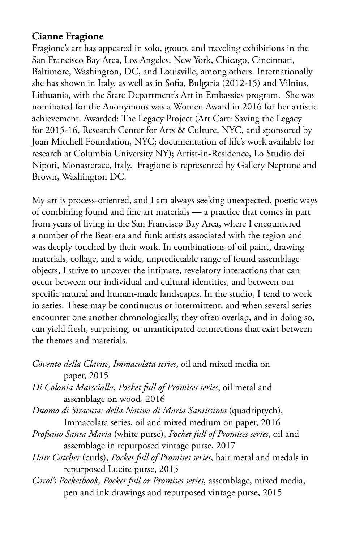#### **Cianne Fragione**

Fragione's art has appeared in solo, group, and traveling exhibitions in the San Francisco Bay Area, Los Angeles, New York, Chicago, Cincinnati, Baltimore, Washington, DC, and Louisville, among others. Internationally she has shown in Italy, as well as in Sofia, Bulgaria (2012-15) and Vilnius, Lithuania, with the State Department's Art in Embassies program. She was nominated for the Anonymous was a Women Award in 2016 for her artistic achievement. Awarded: The Legacy Project (Art Cart: Saving the Legacy for 2015-16, Research Center for Arts & Culture, NYC, and sponsored by Joan Mitchell Foundation, NYC; documentation of life's work available for research at Columbia University NY); Artist-in-Residence, Lo Studio dei Nipoti, Monasterace, Italy. Fragione is represented by Gallery Neptune and Brown, Washington DC.

My art is process-oriented, and I am always seeking unexpected, poetic ways of combining found and fine art materials — a practice that comes in part from years of living in the San Francisco Bay Area, where I encountered a number of the Beat-era and funk artists associated with the region and was deeply touched by their work. In combinations of oil paint, drawing materials, collage, and a wide, unpredictable range of found assemblage objects, I strive to uncover the intimate, revelatory interactions that can occur between our individual and cultural identities, and between our specific natural and human-made landscapes. In the studio, I tend to work in series. These may be continuous or intermittent, and when several series encounter one another chronologically, they often overlap, and in doing so, can yield fresh, surprising, or unanticipated connections that exist between the themes and materials.

| Covento della Clarise, Immacolata series, oil and mixed media on               |
|--------------------------------------------------------------------------------|
| paper, 2015                                                                    |
| Di Colonia Marscialla, Pocket full of Promises series, oil metal and           |
| assemblage on wood, 2016                                                       |
| Duomo di Siracusa: della Nativa di Maria Santissima (quadriptych),             |
| Immacolata series, oil and mixed medium on paper, 2016                         |
| Profumo Santa Maria (white purse), Pocket full of Promises series, oil and     |
| assemblage in repurposed vintage purse, 2017                                   |
| Hair Catcher (curls), Pocket full of Promises series, hair metal and medals in |
|                                                                                |

repurposed Lucite purse, 2015

*Carol's Pocketbook, Pocket full or Promises series*, assemblage, mixed media, pen and ink drawings and repurposed vintage purse, 2015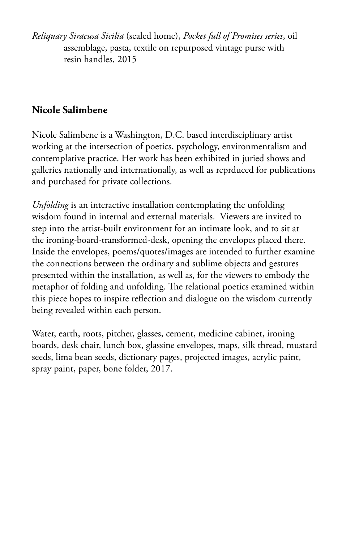*Reliquary Siracusa Sicilia* (sealed home), *Pocket full of Promises series*, oil assemblage, pasta, textile on repurposed vintage purse with resin handles, 2015

### **Nicole Salimbene**

Nicole Salimbene is a Washington, D.C. based interdisciplinary artist working at the intersection of poetics, psychology, environmentalism and contemplative practice. Her work has been exhibited in juried shows and galleries nationally and internationally, as well as reprduced for publications and purchased for private collections.

*Unfolding* is an interactive installation contemplating the unfolding wisdom found in internal and external materials. Viewers are invited to step into the artist-built environment for an intimate look, and to sit at the ironing-board-transformed-desk, opening the envelopes placed there. Inside the envelopes, poems/quotes/images are intended to further examine the connections between the ordinary and sublime objects and gestures presented within the installation, as well as, for the viewers to embody the metaphor of folding and unfolding. The relational poetics examined within this piece hopes to inspire reflection and dialogue on the wisdom currently being revealed within each person.

Water, earth, roots, pitcher, glasses, cement, medicine cabinet, ironing boards, desk chair, lunch box, glassine envelopes, maps, silk thread, mustard seeds, lima bean seeds, dictionary pages, projected images, acrylic paint, spray paint, paper, bone folder, 2017.